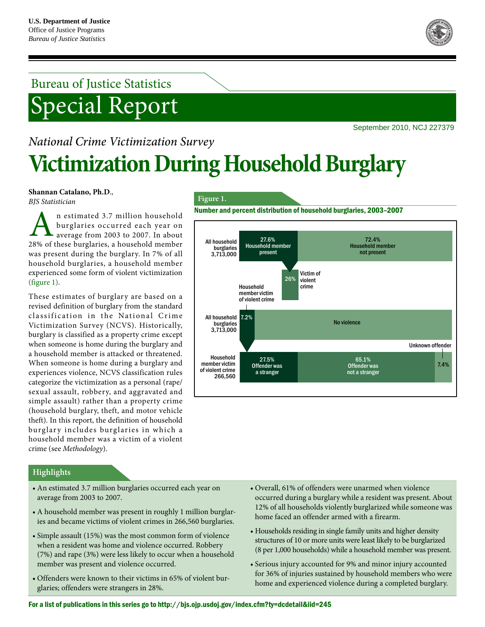

# Bureau of Justice Statistics Special Report

# September 2010, NCJ 227379 *National Crime Victimization Survey* **Victimization During Household Burglary**

**Shannan Catalano, Ph.D**.,

*BJS Statistician*

n estimated 3.7 million household burglaries occurred each year on average from 2003 to 2007. In about A n estimated 3.7 million household<br>burglaries occurred each year on<br>28% of these burglaries, a household member was present during the burglary. In 7% of all household burglaries, a household member experienced some form of violent victimization (figure 1).

These estimates of burglary are based on a revised definition of burglary from the standard classification in the National Crime Victimization Survey (NCVS). Historically, burglary is classified as a property crime except when someone is home during the burglary and a household member is attacked or threatened. When someone is home during a burglary and experiences violence, NCVS classification rules categorize the victimization as a personal (rape/ sexual assault, robbery, and aggravated and simple assault) rather than a property crime (household burglary, theft, and motor vehicle theft). In this report, the definition of household burglary includes burglaries in which a household member was a victim of a violent crime (see *Methodology*).

#### **Figure 1.**

Number and percent distribution of household burglaries, 2003–2007



## **Highlights**

- An estimated 3.7 million burglaries occurred each year on average from 2003 to 2007.
- A household member was present in roughly 1 million burglaries and became victims of violent crimes in 266,560 burglaries.
- Simple assault (15%) was the most common form of violence when a resident was home and violence occurred. Robbery (7%) and rape (3%) were less likely to occur when a household member was present and violence occurred.
- Offenders were known to their victims in 65% of violent burglaries; offenders were strangers in 28%.
- Overall, 61% of offenders were unarmed when violence occurred during a burglary while a resident was present. About 12% of all households violently burglarized while someone was home faced an offender armed with a firearm.
- Households residing in single family units and higher density structures of 10 or more units were least likely to be burglarized (8 per 1,000 households) while a household member was present.
- Serious injury accounted for 9% and minor injury accounted for 36% of injuries sustained by household members who were home and experienced violence during a completed burglary.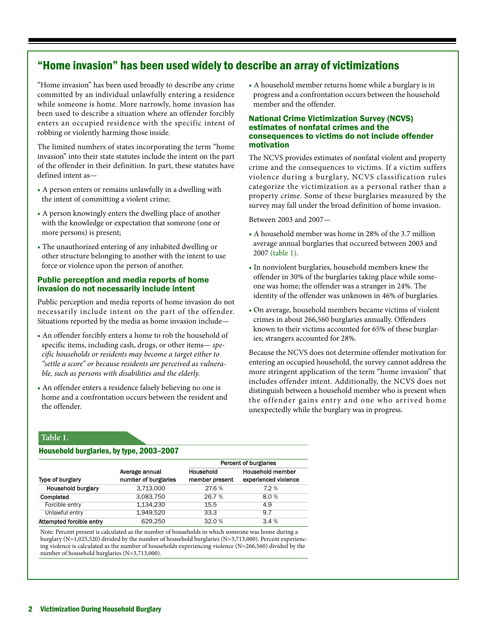## "Home invasion" has been used widely to describe an array of victimizations

"Home invasion" has been used broadly to describe any crime committed by an individual unlawfully entering a residence while someone is home. More narrowly, home invasion has been used to describe a situation where an offender forcibly enters an occupied residence with the specific intent of robbing or violently harming those inside.

The limited numbers of states incorporating the term "home invasion" into their state statutes include the intent on the part of the offender in their definition. In part, these statutes have defined intent as*—*

- A person enters or remains unlawfully in a dwelling with the intent of committing a violent crime;
- A person knowingly enters the dwelling place of another with the knowledge or expectation that someone (one or more persons) is present;
- The unauthorized entering of any inhabited dwelling or other structure belonging to another with the intent to use force or violence upon the person of another.

#### Public perception and media reports of home invasion do not necessarily include intent

Public perception and media reports of home invasion do not necessarily include intent on the part of the offender. Situations reported by the media as home invasion include*—*

- An offender forcibly enters a home to rob the household of specific items, including cash, drugs, or other items*— specific households or residents may become a target either to "settle a score" or because residents are perceived as vulnerable, such as persons with disabilities and the elderly.*
- An offender enters a residence falsely believing no one is home and a confrontation occurs between the resident and the offender.

• A household member returns home while a burglary is in progress and a confrontation occurs between the household member and the offender.

#### National Crime Victimization Survey (NCVS) estimates of nonfatal crimes and the consequences to victims do not include offender motivation

The NCVS provides estimates of nonfatal violent and property crime and the consequences to victims. If a victim suffers violence during a burglary, NCVS classification rules categorize the victimization as a personal rather than a property crime. Some of these burglaries measured by the survey may fall under the broad definition of home invasion.

Between 2003 and 2007*—*

- A household member was home in 28% of the 3.7 million average annual burglaries that occurred between 2003 and 2007 (table 1).
- In nonviolent burglaries, household members knew the offender in 30% of the burglaries taking place while someone was home; the offender was a stranger in 24%. The identity of the offender was unknown in 46% of burglaries.
- On average, household members became victims of violent crimes in about 266,560 burglaries annually. Offenders known to their victims accounted for 65% of these burglaries; strangers accounted for 28%.

Because the NCVS does not determine offender motivation for entering an occupied household, the survey cannot address the more stringent application of the term "home invasion" that includes offender intent. Additionally, the NCVS does not distinguish between a household member who is present when the offender gains entry and one who arrived home unexpectedly while the burglary was in progress.

#### **Table 1.**

#### Household burglaries, by type, 2003–2007

|                           |                                        |                             | Percent of burglaries                           |  |
|---------------------------|----------------------------------------|-----------------------------|-------------------------------------------------|--|
| Type of burglary          | Average annual<br>number of burglaries | Household<br>member present | <b>Household member</b><br>experienced violence |  |
| <b>Household burglary</b> | 3,713,000                              | 27.6 %                      | 7.2%                                            |  |
| Completed                 | 3.083.750                              | 26.7%                       | 8.0%                                            |  |
| Forcible entry            | 1.134.230                              | 15.5                        | 4.9                                             |  |
| Unlawful entry            | 1.949.520                              | 33.3                        | 9.7                                             |  |
| Attempted forcible entry  | 629.250                                | 32.0%                       | 3.4%                                            |  |

Note: Percent present is calculated as the number of households in which someone was home during a burglary (N=1,025,520) divided by the number of household burglaries (N=3,713,000). Percent experiencing violence is calculated as the number of households experiencing violence (N=266,560) divided by the number of household burglaries (N=3,713,000).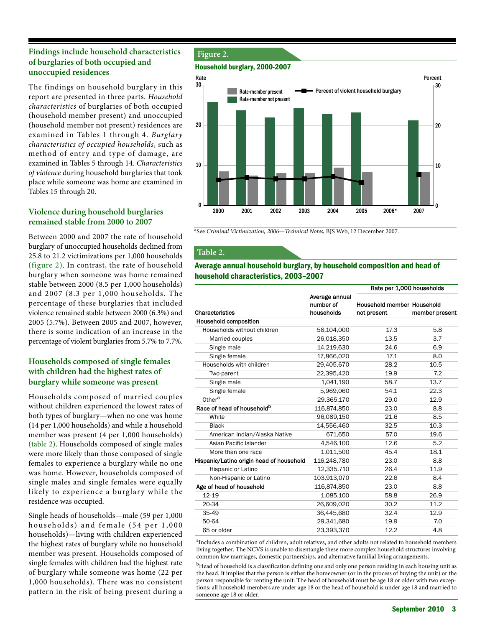## **Findings include household characteristics of burglaries of both occupied and unoccupied residences**

The findings on household burglary in this report are presented in three parts. *Household characteristics* of burglaries of both occupied (household member present) and unoccupied (household member not present) residences are examined in Tables 1 through 4. *Burglary characteristics of occupied households*, such as method of entry and type of damage, are examined in Tables 5 through 14. *Characteristics of violence* during household burglaries that took place while someone was home are examined in Tables 15 through 20.

## **Violence during household burglaries remained stable from 2000 to 2007**

Between 2000 and 2007 the rate of household burglary of unoccupied households declined from 25.8 to 21.2 victimizations per 1,000 households (figure 2). In contrast, the rate of household burglary when someone was home remained stable between 2000 (8.5 per 1,000 households) and 2007 (8.3 per 1,000 households. The percentage of these burglaries that included violence remained stable between 2000 (6.3%) and 2005 (5.7%). Between 2005 and 2007, however, there is some indication of an increase in the percentage of violent burglaries from 5.7% to 7.7%.

## **Households composed of single females with children had the highest rates of burglary while someone was present**

Households composed of married couples without children experienced the lowest rates of both types of burglary—when no one was home (14 per 1,000 households) and while a household member was present (4 per 1,000 households) (table 2). Households composed of single males were more likely than those composed of single females to experience a burglary while no one was home. However, households composed of single males and single females were equally likely to experience a burglary while the residence was occupied.

Single heads of households*—*male (59 per 1,000 households) and female (54 per 1,000 households)*—*living with children experienced the highest rates of burglary while no household member was present. Households composed of single females with children had the highest rate of burglary while someone was home (22 per 1,000 households). There was no consistent pattern in the risk of being present during a

### **Figure 2.**

#### Household burglary, 2000-2007



\*See *Criminal Victimization, 2006—Technical Notes*, BJS Web, 12 December 2007.

### **Table 2.**

#### Average annual household burglary, by household composition and head of household characteristics, 2003–2007

|                                          |                                           | Rate per 1,000 households                 |                |
|------------------------------------------|-------------------------------------------|-------------------------------------------|----------------|
| Characteristics                          | Average annual<br>number of<br>households | Household member Household<br>not present | member present |
| Household composition                    |                                           |                                           |                |
| Households without children              | 58,104,000                                | 17.3                                      | 5.8            |
| Married couples                          | 26,018,350                                | 13.5                                      | 3.7            |
| Single male                              | 14,219,630                                | 24.6                                      | 6.9            |
| Single female                            | 17,866,020                                | 17.1                                      | 8.0            |
| Households with children                 | 29,405,670                                | 28.2                                      | 10.5           |
| Two-parent                               | 22,395,420                                | 19.9                                      | 7.2            |
| Single male                              | 1,041,190                                 | 58.7                                      | 13.7           |
| Single female                            | 5,969,060                                 | 54.1                                      | 22.3           |
| Other <sup>a</sup>                       | 29,365,170                                | 29.0                                      | 12.9           |
| Race of head of household <sup>b</sup>   | 116,874,850                               | 23.0                                      | 8.8            |
| White                                    | 96,089,150                                | 21.6                                      | 8.5            |
| <b>Black</b>                             | 14,556,460                                | 32.5                                      | 10.3           |
| American Indian/Alaska Native            | 671,650                                   | 57.0                                      | 19.6           |
| Asian Pacific Islander                   | 4.546.100                                 | 12.6                                      | 5.2            |
| More than one race                       | 1,011,500                                 | 45.4                                      | 18.1           |
| Hispanic/Latino origin head of household | 116.248.780                               | 23.0                                      | 8.8            |
| Hispanic or Latino                       | 12,335,710                                | 26.4                                      | 11.9           |
| Non-Hispanic or Latino                   | 103,913,070                               | 22.6                                      | 8.4            |
| Age of head of household                 | 116,874,850                               | 23.0                                      | 8.8            |
| 12-19                                    | 1,085,100                                 | 58.8                                      | 26.9           |
| 20-34                                    | 26,609,020                                | 30.2                                      | 11.2           |
| 35-49                                    | 36,445,680                                | 32.4                                      | 12.9           |
| 50-64                                    | 29,341,680                                | 19.9                                      | 7.0            |
| 65 or older                              | 23,393,370                                | 12.2                                      | 4.8            |

<sup>a</sup>Includes a combination of children, adult relatives, and other adults not related to household members living together. The NCVS is unable to disentangle these more complex household structures involving common law marriages, domestic partnerships, and alternative familial living arrangements.

<sup>b</sup>Head of household is a classification defining one and only one person residing in each housing unit as the head. It implies that the person is either the homeowner (or in the process of buying the unit) or the person responsible for renting the unit. The head of household must be age 18 or older with two exceptions: all household members are under age 18 or the head of household is under age 18 and married to someone age 18 or older.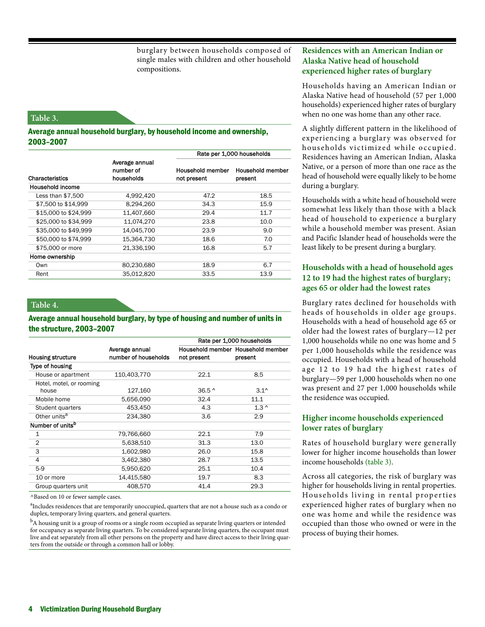burglary between households composed of single males with children and other household compositions.

#### **Table 3.**

#### Average annual household burglary, by household income and ownership, 2003–2007

|                        |                                           | Rate per 1,000 households       |                             |  |
|------------------------|-------------------------------------------|---------------------------------|-----------------------------|--|
| <b>Characteristics</b> | Average annual<br>number of<br>households | Household member<br>not present | Household member<br>present |  |
| Household income       |                                           |                                 |                             |  |
| Less than $$7,500$     | 4,992,420                                 | 47.2                            | 18.5                        |  |
| \$7,500 to \$14,999    | 8,294,260                                 | 34.3                            | 15.9                        |  |
| \$15,000 to \$24,999   | 11,407,660                                | 29.4                            | 11.7                        |  |
| \$25,000 to \$34,999   | 11,074,270                                | 23.8                            | 10.0                        |  |
| \$35,000 to \$49,999   | 14.045.700                                | 23.9                            | 9.0                         |  |
| \$50,000 to \$74,999   | 15,364,730                                | 18.6                            | 7.0                         |  |
| \$75,000 or more       | 21,336,190                                | 16.8                            | 5.7                         |  |
| Home ownership         |                                           |                                 |                             |  |
| Own                    | 80,230,680                                | 18.9                            | 6.7                         |  |
| Rent                   | 35.012.820                                | 33.5                            | 13.9                        |  |

#### **Table 4.**

#### Average annual household burglary, by type of housing and number of units in the structure, 2003–2007

|                              |                      | Rate per 1,000 households |                                   |  |
|------------------------------|----------------------|---------------------------|-----------------------------------|--|
|                              | Average annual       |                           | Household member Household member |  |
| <b>Housing structure</b>     | number of households | not present               | present                           |  |
| Type of housing              |                      |                           |                                   |  |
| House or apartment           | 110,403,770          | 22.1                      | 8.5                               |  |
| Hotel, motel, or rooming     |                      |                           |                                   |  |
| house                        | 127,160              | $36.5^{\circ}$            | $3.1^{\circ}$                     |  |
| Mobile home                  | 5,656,090            | 32.4                      | 11.1                              |  |
| Student quarters             | 453,450              | 4.3                       | $1.3^{\circ}$                     |  |
| Other units <sup>a</sup>     | 234,380              | 3.6                       | 2.9                               |  |
| Number of units <sup>b</sup> |                      |                           |                                   |  |
| $\mathbf 1$                  | 79,766,660           | 22.1                      | 7.9                               |  |
| $\overline{2}$               | 5,638,510            | 31.3                      | 13.0                              |  |
| 3                            | 1,602,980            | 26.0                      | 15.8                              |  |
| 4                            | 3,462,380            | 28.7                      | 13.5                              |  |
| $5-9$                        | 5,950,620            | 25.1                      | 10.4                              |  |
| 10 or more                   | 14,415,580           | 19.7                      | 8.3                               |  |
| Group quarters unit          | 408.570              | 41.4                      | 29.3                              |  |

^Based on 10 or fewer sample cases.

<sup>a</sup>Includes residences that are temporarily unoccupied, quarters that are not a house such as a condo or duplex, temporary living quarters, and general quarters.

<sup>b</sup>A housing unit is a group of rooms or a single room occupied as separate living quarters or intended for occupancy as separate living quarters. To be considered separate living quarters, the occupant must live and eat separately from all other persons on the property and have direct access to their living quarters from the outside or through a common hall or lobby.

## **Residences with an American Indian or Alaska Native head of household experienced higher rates of burglary**

Households having an American Indian or Alaska Native head of household (57 per 1,000 households) experienced higher rates of burglary when no one was home than any other race.

A slightly different pattern in the likelihood of experiencing a burglary was observed for households victimized while occupied. Residences having an American Indian, Alaska Native, or a person of more than one race as the head of household were equally likely to be home during a burglary.

Households with a white head of household were somewhat less likely than those with a black head of household to experience a burglary while a household member was present. Asian and Pacific Islander head of households were the least likely to be present during a burglary.

## **Households with a head of household ages 12 to 19 had the highest rates of burglary; ages 65 or older had the lowest rates**

Burglary rates declined for households with heads of households in older age groups. Households with a head of household age 65 or older had the lowest rates of burglary—12 per 1,000 households while no one was home and 5 per 1,000 households while the residence was occupied. Households with a head of household age 12 to 19 had the highest rates of burglary—59 per 1,000 households when no one was present and 27 per 1,000 households while the residence was occupied.

## **Higher income households experienced lower rates of burglary**

Rates of household burglary were generally lower for higher income households than lower income households (table 3).

Across all categories, the risk of burglary was higher for households living in rental properties. Households living in rental properties experienced higher rates of burglary when no one was home and while the residence was occupied than those who owned or were in the process of buying their homes.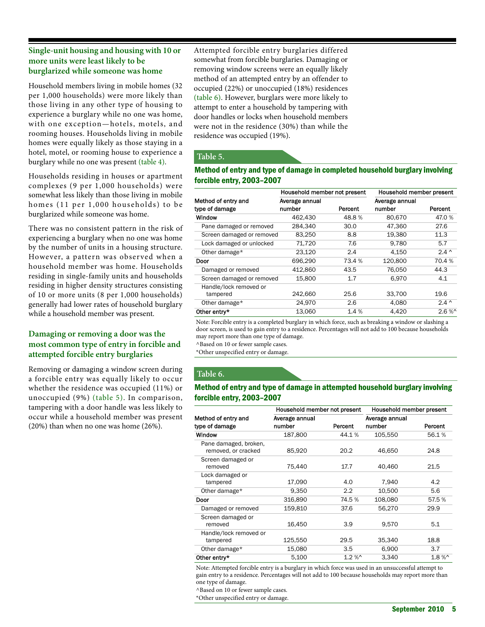## **Single-unit housing and housing with 10 or more units were least likely to be burglarized while someone was home**

Household members living in mobile homes (32 per 1,000 households) were more likely than those living in any other type of housing to experience a burglary while no one was home, with one exception—hotels, motels, and rooming houses. Households living in mobile homes were equally likely as those staying in a hotel, motel, or rooming house to experience a burglary while no one was present (table 4).

Households residing in houses or apartment complexes (9 per 1,000 households) were somewhat less likely than those living in mobile homes (11 per 1,000 households) to be burglarized while someone was home.

There was no consistent pattern in the risk of experiencing a burglary when no one was home by the number of units in a housing structure. However, a pattern was observed when a household member was home. Households residing in single-family units and households residing in higher density structures consisting of 10 or more units (8 per 1,000 households) generally had lower rates of household burglary while a household member was present.

## **Damaging or removing a door was the most common type of entry in forcible and attempted forcible entry burglaries**

Removing or damaging a window screen during a forcible entry was equally likely to occur whether the residence was occupied (11%) or unoccupied (9%) (table 5). In comparison, tampering with a door handle was less likely to occur while a household member was present (20%) than when no one was home (26%).

Attempted forcible entry burglaries differed somewhat from forcible burglaries. Damaging or removing window screens were an equally likely method of an attempted entry by an offender to occupied (22%) or unoccupied (18%) residences (table 6). However, burglars were more likely to attempt to enter a household by tampering with door handles or locks when household members were not in the residence (30%) than while the residence was occupied (19%).

## **Table 5.**

### Method of entry and type of damage in completed household burglary involving forcible entry, 2003–2007

|                           | Household member not present |         | Household member present |               |
|---------------------------|------------------------------|---------|--------------------------|---------------|
| Method of entry and       | Average annual               |         | Average annual           |               |
| type of damage            | number                       | Percent | number                   | Percent       |
| Window                    | 462,430                      | 48.8%   | 80,670                   | 47.0 %        |
| Pane damaged or removed   | 284.340                      | 30.0    | 47,360                   | 27.6          |
| Screen damaged or removed | 83,250                       | 8.8     | 19.380                   | 11.3          |
| Lock damaged or unlocked  | 71.720                       | 7.6     | 9.780                    | 5.7           |
| Other damage*             | 23.120                       | 2.4     | 4.150                    | $2.4^{\circ}$ |
| Door                      | 696,290                      | 73.4 %  | 120,800                  | 70.4%         |
| Damaged or removed        | 412,860                      | 43.5    | 76,050                   | 44.3          |
| Screen damaged or removed | 15.800                       | 1.7     | 6.970                    | 4.1           |
| Handle/lock removed or    |                              |         |                          |               |
| tampered                  | 242,660                      | 25.6    | 33.700                   | 19.6          |
| Other damage*             | 24,970                       | 2.6     | 4,080                    | $2.4^{\circ}$ |
| Other entry*              | 13.060                       | 1.4%    | 4.420                    | $2.6\%$       |

Note: Forcible entry is a completed burglary in which force, such as breaking a window or slashing a door screen, is used to gain entry to a residence. Percentages will not add to 100 because households may report more than one type of damage.

^Based on 10 or fewer sample cases.

\*Other unspecified entry or damage.

## **Table 6.**

### Method of entry and type of damage in attempted household burglary involving forcible entry, 2003–2007

|                                              | Household member not present |          |                | Household member present |
|----------------------------------------------|------------------------------|----------|----------------|--------------------------|
| Method of entry and                          | Average annual               |          | Average annual |                          |
| type of damage                               | number                       | Percent  | number         | Percent                  |
| Window                                       | 187,800                      | 44.1%    | 105,550        | 56.1%                    |
| Pane damaged, broken,<br>removed, or cracked | 85,920                       | 20.2     | 46,650         | 24.8                     |
| Screen damaged or<br>removed                 | 75,440                       | 17.7     | 40,460         | 21.5                     |
| Lock damaged or<br>tampered                  | 17,090                       | 4.0      | 7,940          | 4.2                      |
| Other damage*                                | 9,350                        | 2.2      | 10,500         | 5.6                      |
| Door                                         | 316,890                      | 74.5 %   | 108,080        | 57.5 %                   |
| Damaged or removed                           | 159,810                      | 37.6     | 56,270         | 29.9                     |
| Screen damaged or<br>removed                 | 16,450                       | 3.9      | 9,570          | 5.1                      |
| Handle/lock removed or<br>tampered           | 125,550                      | 29.5     | 35,340         | 18.8                     |
| Other damage*                                | 15,080                       | 3.5      | 6,900          | 3.7                      |
| Other entry*                                 | 5,100                        | $1.2 \%$ | 3,340          | $1.8 \%$                 |

Note: Attempted forcible entry is a burglary in which force was used in an unsuccessful attempt to gain entry to a residence. Percentages will not add to 100 because households may report more than one type of damage.

^Based on 10 or fewer sample cases.

\*Other unspecified entry or damage.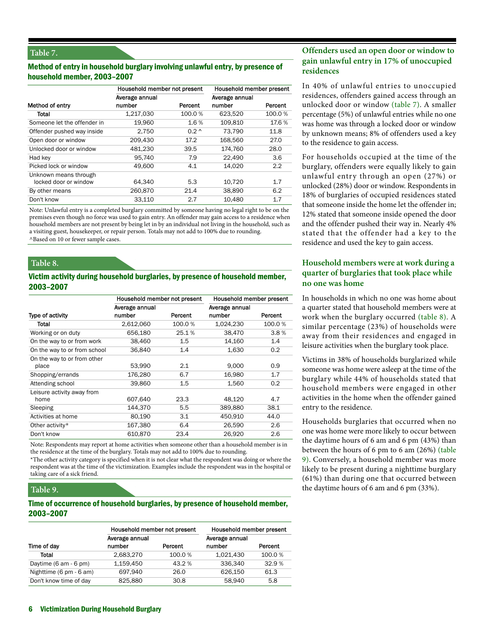#### **Table 7.**

#### Method of entry in household burglary involving unlawful entry, by presence of household member, 2003–2007

|                                                | Household member not present |               | Household member present |         |
|------------------------------------------------|------------------------------|---------------|--------------------------|---------|
| Method of entry                                | Average annual<br>number     | Percent       | Average annual<br>number | Percent |
| Total                                          | 1,217,030                    | 100.0%        | 623,520                  | 100.0%  |
| Someone let the offender in                    | 19,960                       | 1.6%          | 109,810                  | 17.6 %  |
| Offender pushed way inside                     | 2.750                        | $0.2^{\circ}$ | 73.790                   | 11.8    |
| Open door or window                            | 209,430                      | 17.2          | 168,560                  | 27.0    |
| Unlocked door or window                        | 481.230                      | 39.5          | 174.760                  | 28.0    |
| Had key                                        | 95,740                       | 7.9           | 22,490                   | 3.6     |
| Picked lock or window                          | 49,600                       | 4.1           | 14.020                   | 2.2     |
| Unknown means through<br>locked door or window | 64.340                       | 5.3           | 10.720                   | 1.7     |
| By other means                                 | 260,870                      | 21.4          | 38,890                   | 6.2     |
| Don't know                                     | 33.110                       | 2.7           | 10,480                   | 1.7     |

Note: Unlawful entry is a completed burglary committed by someone having no legal right to be on the premises even though no force was used to gain entry. An offender may gain access to a residence when household members are not present by being let in by an individual not living in the household, such as a visiting guest, housekeeper, or repair person. Totals may not add to 100% due to rounding. ^Based on 10 or fewer sample cases.

**Table 8.** 

#### Victim activity during household burglaries, by presence of household member, 2003–2007

|                              | Household member not present |         | Household member present |                  |
|------------------------------|------------------------------|---------|--------------------------|------------------|
|                              | Average annual               |         | Average annual           |                  |
| Type of activity             | number                       | Percent | number                   | Percent          |
| Total                        | 2,612,060                    | 100.0%  | 1,024,230                | 100.0%           |
| Working or on duty           | 656,180                      | 25.1%   | 38,470                   | 3.8%             |
| On the way to or from work   | 38,460                       | $1.5\,$ | 14,160                   | 1.4              |
| On the way to or from school | 36,840                       | 1.4     | 1,630                    | 0.2 <sub>0</sub> |
| On the way to or from other  |                              |         |                          |                  |
| place                        | 53,990                       | 2.1     | 9,000                    | 0.9              |
| Shopping/errands             | 176,280                      | 6.7     | 16,980                   | 1.7              |
| Attending school             | 39,860                       | 1.5     | 1,560                    | 0.2              |
| Leisure activity away from   |                              |         |                          |                  |
| home                         | 607,640                      | 23.3    | 48,120                   | 4.7              |
| Sleeping                     | 144,370                      | 5.5     | 389,880                  | 38.1             |
| Activities at home           | 80,190                       | 3.1     | 450,910                  | 44.0             |
| Other activity*              | 167,380                      | 6.4     | 26,590                   | 2.6              |
| Don't know                   | 610,870                      | 23.4    | 26,920                   | 2.6              |

Note: Respondents may report at home activities when someone other than a household member is in the residence at the time of the burglary. Totals may not add to 100% due to rounding.

\*The other activity category is specified when it is not clear what the respondent was doing or where the respondent was at the time of the victimization. Examples include the respondent was in the hospital or taking care of a sick friend.

#### **Table 9.**

#### Time of occurrence of household burglaries, by presence of household member, 2003–2007

|                         | Household member not present |         | Household member present |         |
|-------------------------|------------------------------|---------|--------------------------|---------|
|                         | Average annual               |         | Average annual           |         |
| Time of day             | number                       | Percent | number                   | Percent |
| Total                   | 2,683,270                    | 100.0%  | 1,021,430                | 100.0%  |
| Daytime (6 am - 6 pm)   | 1,159,450                    | 43.2 %  | 336.340                  | 32.9%   |
| Nighttime (6 pm - 6 am) | 697.940                      | 26.0    | 626.150                  | 61.3    |
| Don't know time of day  | 825.880                      | 30.8    | 58.940                   | 5.8     |

## **Offenders used an open door or window to gain unlawful entry in 17% of unoccupied residences**

In 40% of unlawful entries to unoccupied residences, offenders gained access through an unlocked door or window (table 7). A smaller percentage (5%) of unlawful entries while no one was home was through a locked door or window by unknown means; 8% of offenders used a key to the residence to gain access.

For households occupied at the time of the burglary, offenders were equally likely to gain unlawful entry through an open (27%) or unlocked (28%) door or window. Respondents in 18% of burglaries of occupied residences stated that someone inside the home let the offender in; 12% stated that someone inside opened the door and the offender pushed their way in. Nearly 4% stated that the offender had a key to the residence and used the key to gain access.

## **Household members were at work during a quarter of burglaries that took place while no one was home**

In households in which no one was home about a quarter stated that household members were at work when the burglary occurred (table 8). A similar percentage (23%) of households were away from their residences and engaged in leisure activities when the burglary took place.

Victims in 38% of households burglarized while someone was home were asleep at the time of the burglary while 44% of households stated that household members were engaged in other activities in the home when the offender gained entry to the residence.

Households burglaries that occurred when no one was home were more likely to occur between the daytime hours of 6 am and 6 pm (43%) than between the hours of 6 pm to 6 am (26%) (table 9). Conversely, a household member was more likely to be present during a nighttime burglary (61%) than during one that occurred between the daytime hours of 6 am and 6 pm (33%).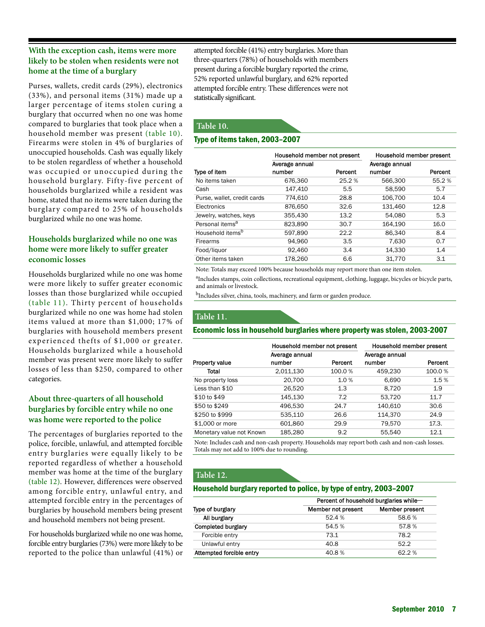## **With the exception cash, items were more likely to be stolen when residents were not home at the time of a burglary**

Purses, wallets, credit cards (29%), electronics (33%), and personal items (31%) made up a larger percentage of items stolen curing a burglary that occurred when no one was home compared to burglaries that took place when a household member was present (table 10). Firearms were stolen in 4% of burglaries of unoccupied households. Cash was equally likely to be stolen regardless of whether a household was occupied or unoccupied during the household burglary. Fifty-five percent of households burglarized while a resident was home, stated that no items were taken during the burglary compared to 25% of households burglarized while no one was home.

## **Households burglarized while no one was home were more likely to suffer greater economic losses**

Households burglarized while no one was home were more likely to suffer greater economic losses than those burglarized while occupied (table 11). Thirty percent of households burglarized while no one was home had stolen items valued at more than \$1,000; 17% of burglaries with household members present experienced thefts of \$1,000 or greater. Households burglarized while a household member was present were more likely to suffer losses of less than \$250, compared to other categories.

## **About three-quarters of all household burglaries by forcible entry while no one was home were reported to the police**

The percentages of burglaries reported to the police, forcible, unlawful, and attempted forcible entry burglaries were equally likely to be reported regardless of whether a household member was home at the time of the burglary (table 12). However, differences were observed among forcible entry, unlawful entry, and attempted forcible entry in the percentages of burglaries by household members being present and household members not being present.

For households burglarized while no one was home, forcible entry burglaries (73%) were more likely to be reported to the police than unlawful (41%) or attempted forcible (41%) entry burglaries. More than three-quarters (78%) of households with members present during a forcible burglary reported the crime, 52% reported unlawful burglary, and 62% reported attempted forcible entry. These differences were not statistically significant.

## **Table 10.**

## Type of items taken, 2003–2007

|                              | Household member not present |         | Household member present |         |
|------------------------------|------------------------------|---------|--------------------------|---------|
|                              | Average annual<br>number     |         | Average annual<br>number |         |
| Type of item                 |                              | Percent |                          | Percent |
| No items taken               | 676,360                      | 25.2%   | 566,300                  | 55.2%   |
| Cash                         | 147,410                      | 5.5     | 58,590                   | 5.7     |
| Purse, wallet, credit cards  | 774.610                      | 28.8    | 106.700                  | 10.4    |
| Electronics                  | 876,650                      | 32.6    | 131.460                  | 12.8    |
| Jewelry, watches, keys       | 355.430                      | 13.2    | 54.080                   | 5.3     |
| Personal items <sup>a</sup>  | 823,890                      | 30.7    | 164,190                  | 16.0    |
| Household items <sup>b</sup> | 597.890                      | 22.2    | 86.340                   | 8.4     |
| <b>Firearms</b>              | 94,960                       | 3.5     | 7,630                    | 0.7     |
| Food/liquor                  | 92,460                       | 3.4     | 14,330                   | 1.4     |
| Other items taken            | 178,260                      | 6.6     | 31.770                   | 3.1     |

Note: Totals may exceed 100% because households may report more than one item stolen.

aIncludes stamps, coin collections, recreational equipment, clothing, luggage, bicycles or bicycle parts, and animals or livestock.

<sup>b</sup>Includes silver, china, tools, machinery, and farm or garden produce.

## **Table 11.**

#### Economic loss in household burglaries where property was stolen, 2003-2007

|                          | Household member not present |         | Household member present |         |
|--------------------------|------------------------------|---------|--------------------------|---------|
|                          | Average annual               |         | Average annual           |         |
| Property value           | number                       | Percent | number                   | Percent |
| Total                    | 2,011,130                    | 100.0%  | 459,230                  | 100.0%  |
| No property loss         | 20,700                       | 1.0%    | 6,690                    | 1.5%    |
| Less than \$10           | 26,520                       | 1.3     | 8,720                    | 1.9     |
| \$10 to \$49             | 145,130                      | 7.2     | 53,720                   | 11.7    |
| \$50 to \$249            | 496,530                      | 24.7    | 140,610                  | 30.6    |
| \$250 to \$999           | 535,110                      | 26.6    | 114,370                  | 24.9    |
| \$1,000 or more          | 601,860                      | 29.9    | 79.570                   | 17.3.   |
| Monetary value not Known | 185,280                      | 9.2     | 55.540                   | 12.1    |

Note: Includes cash and non-cash property. Households may report both cash and non-cash losses. Totals may not add to 100% due to rounding.

## **Table 12.**

#### Household burglary reported to police, by type of entry, 2003–2007

|                           | Percent of household burglaries while- |                |  |  |
|---------------------------|----------------------------------------|----------------|--|--|
| Type of burglary          | Member not present                     | Member present |  |  |
| All burglary              | 52.4%                                  | 58.6%          |  |  |
| <b>Completed burglary</b> | 54.5 %                                 | 57.8%          |  |  |
| Forcible entry            | 73.1                                   | 78.2           |  |  |
| Unlawful entry            | 40.8                                   | 52.2           |  |  |
| Attempted forcible entry  | 40.8%                                  | 62.2%          |  |  |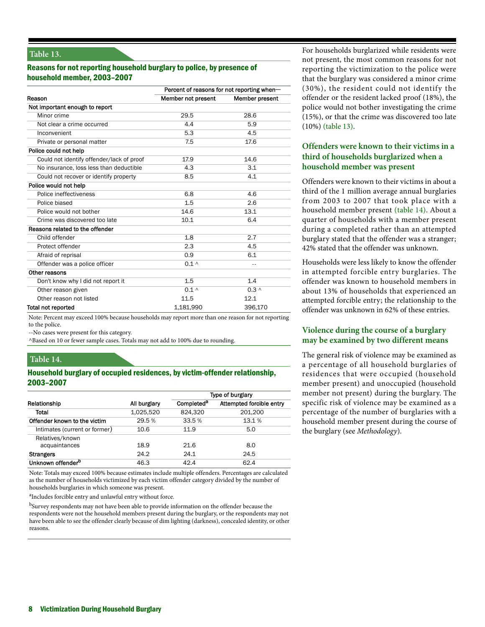## **Table 13.**

## Reasons for not reporting household burglary to police, by presence of household member, 2003–2007

|                                           | Percent of reasons for not reporting when- |                |  |  |
|-------------------------------------------|--------------------------------------------|----------------|--|--|
| Reason                                    | Member not present                         | Member present |  |  |
| Not important enough to report            |                                            |                |  |  |
| Minor crime                               | 29.5                                       | 28.6           |  |  |
| Not clear a crime occurred                | 4.4                                        | 5.9            |  |  |
| Inconvenient                              | 5.3                                        | 4.5            |  |  |
| Private or personal matter                | 7.5                                        | 17.6           |  |  |
| Police could not help                     |                                            |                |  |  |
| Could not identify offender/lack of proof | 17.9                                       | 14.6           |  |  |
| No insurance, loss less than deductible   | 4.3                                        | 3.1            |  |  |
| Could not recover or identify property    | 8.5                                        | 4.1            |  |  |
| Police would not help                     |                                            |                |  |  |
| Police ineffectiveness                    | 6.8                                        | 4.6            |  |  |
| Police biased                             | 1.5                                        | 2.6            |  |  |
| Police would not bother                   | 14.6                                       | 13.1           |  |  |
| Crime was discovered too late             | 10.1                                       | 6.4            |  |  |
| Reasons related to the offender           |                                            |                |  |  |
| Child offender                            | 1.8                                        | 2.7            |  |  |
| Protect offender                          | 2.3                                        | 4.5            |  |  |
| Afraid of reprisal                        | 0.9                                        | 6.1            |  |  |
| Offender was a police officer             | $0.1 \wedge$                               | $\sim$ $-$     |  |  |
| Other reasons                             |                                            |                |  |  |
| Don't know why I did not report it        | 1.5                                        | 1.4            |  |  |
| Other reason given                        | $0.1 \wedge$                               | $0.3 \wedge$   |  |  |
| Other reason not listed                   | 11.5                                       | 12.1           |  |  |
| <b>Total not reported</b>                 | 1,181,990                                  | 396,170        |  |  |

Note: Percent may exceed 100% because households may report more than one reason for not reporting to the police.

--No cases were present for this category.

^Based on 10 or fewer sample cases. Totals may not add to 100% due to rounding.

## **Table 14.**

#### Household burglary of occupied residences, by victim-offender relationship, 2003–2007

|                               |              | Type of burglary       |                          |  |
|-------------------------------|--------------|------------------------|--------------------------|--|
| Relationship                  | All burglary | Completed <sup>a</sup> | Attempted forcible entry |  |
| Total                         | 1,025,520    | 824.320                | 201.200                  |  |
| Offender known to the victim  | 29.5%        | 33.5%                  | 13.1 %                   |  |
| Intimates (current or former) | 10.6         | 11.9                   | 5.0                      |  |
| Relatives/known               |              |                        |                          |  |
| acquaintances                 | 18.9         | 21.6                   | 8.0                      |  |
| <b>Strangers</b>              | 24.2         | 24.1                   | 24.5                     |  |
| Unknown offender <sup>b</sup> | 46.3         | 42.4                   | 62.4                     |  |

Note: Totals may exceed 100% because estimates include multiple offenders. Percentages are calculated as the number of households victimized by each victim offender category divided by the number of households burglaries in which someone was present.

<sup>a</sup>Includes forcible entry and unlawful entry without force.

bSurvey respondents may not have been able to provide information on the offender because the respondents were not the household members present during the burglary, or the respondents may not have been able to see the offender clearly because of dim lighting (darkness), concealed identity, or other reasons.

For households burglarized while residents were not present, the most common reasons for not reporting the victimization to the police were that the burglary was considered a minor crime (30%), the resident could not identify the offender or the resident lacked proof (18%), the police would not bother investigating the crime (15%), or that the crime was discovered too late (10%) (table 13).

## **Offenders were known to their victims in a third of households burglarized when a household member was present**

Offenders were known to their victims in about a third of the 1 million average annual burglaries from 2003 to 2007 that took place with a household member present (table 14). About a quarter of households with a member present during a completed rather than an attempted burglary stated that the offender was a stranger; 42% stated that the offender was unknown.

Households were less likely to know the offender in attempted forcible entry burglaries. The offender was known to household members in about 13% of households that experienced an attempted forcible entry; the relationship to the offender was unknown in 62% of these entries.

## **Violence during the course of a burglary may be examined by two different means**

The general risk of violence may be examined as a percentage of all household burglaries of residences that were occupied (household member present) and unoccupied (household member not present) during the burglary. The specific risk of violence may be examined as a percentage of the number of burglaries with a household member present during the course of the burglary (see *Methodology*).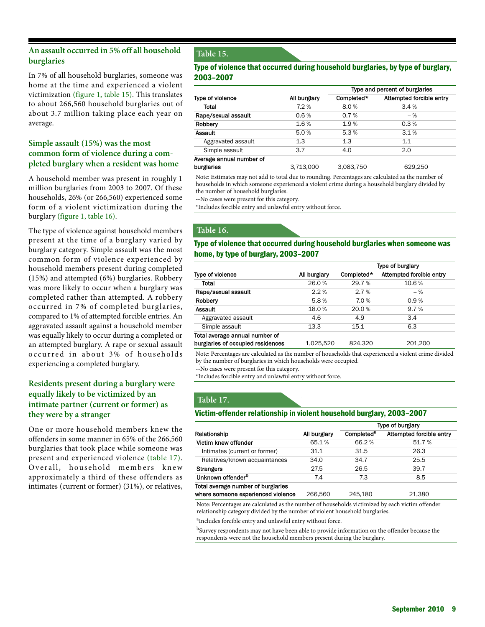## **An assault occurred in 5% off all household burglaries**

In 7% of all household burglaries, someone was home at the time and experienced a violent victimization (figure 1, table 15). This translates to about 266,560 household burglaries out of about 3.7 million taking place each year on average.

## **Simple assault (15%) was the most common form of violence during a completed burglary when a resident was home**

A household member was present in roughly 1 million burglaries from 2003 to 2007. Of these households, 26% (or 266,560) experienced some form of a violent victimization during the burglary (figure 1, table 16).

The type of violence against household members present at the time of a burglary varied by burglary category. Simple assault was the most common form of violence experienced by household members present during completed (15%) and attempted (6%) burglaries. Robbery was more likely to occur when a burglary was completed rather than attempted. A robbery occurred in 7% of completed burglaries, compared to 1% of attempted forcible entries. An aggravated assault against a household member was equally likely to occur during a completed or an attempted burglary. A rape or sexual assault occurred in about 3% of households experiencing a completed burglary.

## **Residents present during a burglary were equally likely to be victimized by an intimate partner (current or former) as they were by a stranger**

One or more household members knew the offenders in some manner in 65% of the 266,560 burglaries that took place while someone was present and experienced violence (table 17). Overall, household members knew approximately a third of these offenders as intimates (current or former) (31%), or relatives,

## **Table 15.**

## Type of violence that occurred during household burglaries, by type of burglary, 2003–2007

|                          | Type and percent of burglaries |            |                          |  |
|--------------------------|--------------------------------|------------|--------------------------|--|
| Type of violence         | All burglary                   | Completed* | Attempted forcible entry |  |
| Total                    | 7.2%                           | 8.0%       | 3.4%                     |  |
| Rape/sexual assault      | 0.6%                           | 0.7%       | $-$ %                    |  |
| Robbery                  | 1.6%                           | 1.9%       | 0.3%                     |  |
| Assault                  | 5.0%                           | 5.3%       | 3.1%                     |  |
| Aggravated assault       | 1.3                            | 1.3        | 1.1                      |  |
| Simple assault           | 3.7                            | 4.0        | 2.0                      |  |
| Average annual number of |                                |            |                          |  |
| burglaries               | 3.713.000                      | 3.083.750  | 629.250                  |  |

Note: Estimates may not add to total due to rounding. Percentages are calculated as the number of households in which someone experienced a violent crime during a household burglary divided by the number of household burglaries.

--No cases were present for this category.

\*Includes forcible entry and unlawful entry without force.

### **Table 16.**

#### Type of violence that occurred during household burglaries when someone was home, by type of burglary, 2003–2007

|                                   | Type of burglary |            |                          |
|-----------------------------------|------------------|------------|--------------------------|
| Type of violence                  | All burglary     | Completed* | Attempted forcible entry |
| Total                             | 26.0%            | 29.7 %     | 10.6 %                   |
| Rape/sexual assault               | 2.2%             | 2.7%       | $-$ %                    |
| Robbery                           | 5.8%             | 7.0%       | 0.9%                     |
| <b>Assault</b>                    | 18.0%            | 20.0%      | 9.7%                     |
| Aggravated assault                | 4.6              | 4.9        | 3.4                      |
| Simple assault                    | 13.3             | 15.1       | 6.3                      |
| Total average annual number of    |                  |            |                          |
| burglaries of occupied residences | 1.025.520        | 824.320    | 201.200                  |

Note: Percentages are calculated as the number of households that experienced a violent crime divided by the number of burglaries in which households were occupied.

--No cases were present for this category.

\*Includes forcible entry and unlawful entry without force.

## **Table 17.**

#### Victim-offender relationship in violent household burglary, 2003–2007

|                                    |              | Type of burglary       |                          |  |
|------------------------------------|--------------|------------------------|--------------------------|--|
| Relationship                       | All burglary | Completed <sup>a</sup> | Attempted forcible entry |  |
| Victim knew offender               | 65.1%        | 66.2%                  | 51.7%                    |  |
| Intimates (current or former)      | 31.1         | 31.5                   | 26.3                     |  |
| Relatives/known acquaintances      | 34.0         | 34.7                   | 25.5                     |  |
| <b>Strangers</b>                   | 27.5         | 26.5                   | 39.7                     |  |
| Unknown offender <sup>b</sup>      | 7.4          | 7.3                    | 8.5                      |  |
| Total average number of burglaries |              |                        |                          |  |
| where someone experienced violence | 266.560      | 245.180                | 21,380                   |  |

Note: Percentages are calculated as the number of households victimized by each victim offender relationship category divided by the number of violent household burglaries.

aIncludes forcible entry and unlawful entry without force.

<sup>b</sup>Survey respondents may not have been able to provide information on the offender because the respondents were not the household members present during the burglary.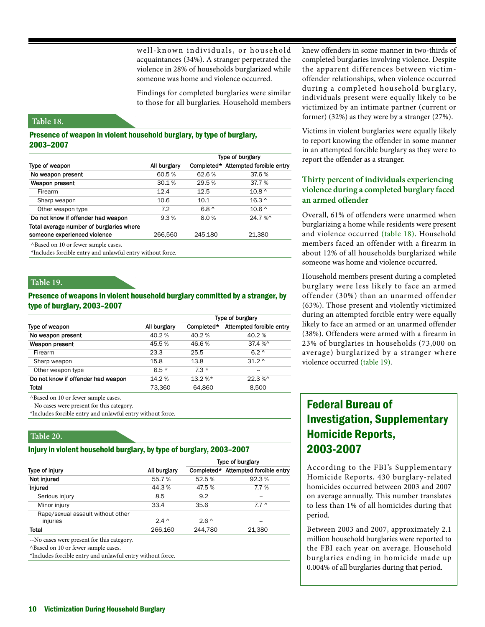well-known individuals, or household acquaintances (34%). A stranger perpetrated the violence in 28% of households burglarized while someone was home and violence occurred.

Findings for completed burglaries were similar to those for all burglaries. Household members

#### **Table 18.**

#### Presence of weapon in violent household burglary, by type of burglary, 2003–2007

|                                                            |              | Type of burglary |                                     |  |
|------------------------------------------------------------|--------------|------------------|-------------------------------------|--|
| Type of weapon                                             | All burglary |                  | Completed* Attempted forcible entry |  |
| No weapon present                                          | 60.5 %       | 62.6%            | 37.6%                               |  |
| Weapon present                                             | 30.1%        | 29.5%            | 37.7 %                              |  |
| Firearm                                                    | 12.4         | 12.5             | $10.8^{\circ}$                      |  |
| Sharp weapon                                               | 10.6         | 10.1             | $16.3^{\circ}$                      |  |
| Other weapon type                                          | 7.2          | $6.8^{\circ}$    | $10.6^{\circ}$                      |  |
| Do not know if offender had weapon                         | 9.3%         | 8.0%             | 24.7 %^                             |  |
| Total average number of burglaries where                   |              |                  |                                     |  |
| someone experienced violence                               | 266.560      | 245.180          | 21.380                              |  |
| ^Based on 10 or fewer sample cases.                        |              |                  |                                     |  |
| *Includes forcible entry and unlawful entry without force. |              |                  |                                     |  |

#### **Table 19.**

#### Presence of weapons in violent household burglary committed by a stranger, by type of burglary, 2003–2007

|                                    |              | Type of burglary |                          |  |
|------------------------------------|--------------|------------------|--------------------------|--|
| Type of weapon                     | All burglary | Completed*       | Attempted forcible entry |  |
| No weapon present                  | 40.2%        | 40.2%            | 40.2%                    |  |
| Weapon present                     | 45.5%        | 46.6%            | 37.4 %^                  |  |
| Firearm                            | 23.3         | 25.5             | $6.2^{\circ}$            |  |
| Sharp weapon                       | 15.8         | 13.8             | $31.2^{\circ}$           |  |
| Other weapon type                  | $6.5*$       | $7.3*$           |                          |  |
| Do not know if offender had weapon | 14.2 %       | $13.2$ %*        | $22.3\%$                 |  |
| <b>Total</b>                       | 73.360       | 64.860           | 8.500                    |  |

^Based on 10 or fewer sample cases.

--No cases were present for this category.

\*Includes forcible entry and unlawful entry without force.

#### **Table 20.**

#### Injury in violent household burglary, by type of burglary, 2003–2007

|                                               |               | Type of burglary |                          |  |
|-----------------------------------------------|---------------|------------------|--------------------------|--|
| Type of injury                                | All burglary  | Completed*       | Attempted forcible entry |  |
| Not injured                                   | 55.7%         | 52.5 %           | 92.3%                    |  |
| <b>Injured</b>                                | 44.3%         | 47.5 %           | 7.7%                     |  |
| Serious injury                                | 8.5           | 9.2              | --                       |  |
| Minor injury                                  | 33.4          | 35.6             | $7.7^{\circ}$            |  |
| Rape/sexual assault without other<br>injuries | $2.4^{\circ}$ | $2.6^{\circ}$    | --                       |  |
| Total                                         | 266,160       | 244.780          | 21,380                   |  |

--No cases were present for this category.

^Based on 10 or fewer sample cases.

\*Includes forcible entry and unlawful entry without force.

knew offenders in some manner in two-thirds of completed burglaries involving violence. Despite the apparent differences between victimoffender relationships, when violence occurred during a completed household burglary, individuals present were equally likely to be victimized by an intimate partner (current or former) (32%) as they were by a stranger (27%).

Victims in violent burglaries were equally likely to report knowing the offender in some manner in an attempted forcible burglary as they were to report the offender as a stranger.

## **Thirty percent of individuals experiencing violence during a completed burglary faced an armed offender**

Overall, 61% of offenders were unarmed when burglarizing a home while residents were present and violence occurred (table 18). Household members faced an offender with a firearm in about 12% of all households burglarized while someone was home and violence occurred.

Household members present during a completed burglary were less likely to face an armed offender (30%) than an unarmed offender (63%). Those present and violently victimized during an attempted forcible entry were equally likely to face an armed or an unarmed offender (38%). Offenders were armed with a firearm in 23% of burglaries in households (73,000 on average) burglarized by a stranger where violence occurred (table 19).

# Federal Bureau of Investigation, Supplementary Homicide Reports, 2003-2007

According to the FBI's Supplementar y Homicide Reports, 430 burglary-related homicides occurred between 2003 and 2007 on average annually. This number translates to less than 1% of all homicides during that period.

Between 2003 and 2007, approximately 2.1 million household burglaries were reported to the FBI each year on average. Household burglaries ending in homicide made up 0.004% of all burglaries during that period.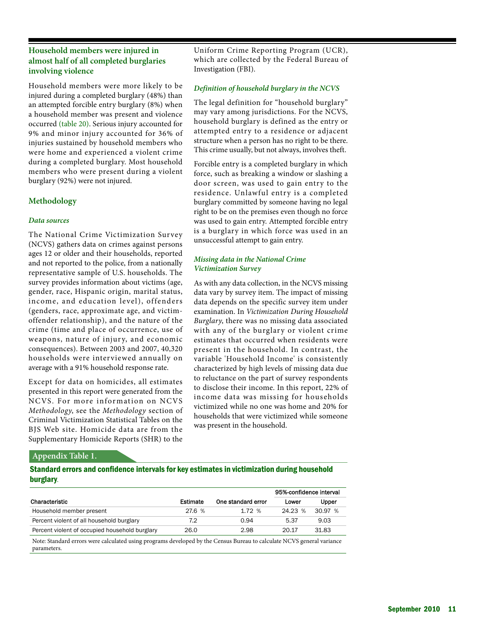## **Household members were injured in almost half of all completed burglaries involving violence**

Household members were more likely to be injured during a completed burglary (48%) than an attempted forcible entry burglary (8%) when a household member was present and violence occurred (table 20). Serious injury accounted for 9% and minor injury accounted for 36% of injuries sustained by household members who were home and experienced a violent crime during a completed burglary. Most household members who were present during a violent burglary (92%) were not injured.

### **Methodology**

#### *Data sources*

The National Crime Victimization Survey (NCVS) gathers data on crimes against persons ages 12 or older and their households, reported and not reported to the police, from a nationally representative sample of U.S. households. The survey provides information about victims (age, gender, race, Hispanic origin, marital status, income, and education level), offenders (genders, race, approximate age, and victimoffender relationship), and the nature of the crime (time and place of occurrence, use of weapons, nature of injury, and economic consequences). Between 2003 and 2007, 40,320 households were interviewed annually on average with a 91% household response rate.

Except for data on homicides, all estimates presented in this report were generated from the NCVS. For more information on NCVS *Methodology*, see the *Methodology* section of Criminal Victimization Statistical Tables on the BJS Web site. Homicide data are from the Supplementary Homicide Reports (SHR) to the

Uniform Crime Reporting Program (UCR), which are collected by the Federal Bureau of Investigation (FBI).

#### *Definition of household burglary in the NCVS*

The legal definition for "household burglary" may vary among jurisdictions. For the NCVS, household burglary is defined as the entry or attempted entry to a residence or adjacent structure when a person has no right to be there. This crime usually, but not always, involves theft.

Forcible entry is a completed burglary in which force, such as breaking a window or slashing a door screen, was used to gain entry to the residence. Unlawful entry is a completed burglary committed by someone having no legal right to be on the premises even though no force was used to gain entry. Attempted forcible entry is a burglary in which force was used in an unsuccessful attempt to gain entry.

## *Missing data in the National Crime Victimization Survey*

As with any data collection, in the NCVS missing data vary by survey item. The impact of missing data depends on the specific survey item under examination. In *Victimization During Household Burglary*, there was no missing data associated with any of the burglary or violent crime estimates that occurred when residents were present in the household. In contrast, the variable 'Household Income' is consistently characterized by high levels of missing data due to reluctance on the part of survey respondents to disclose their income. In this report, 22% of income data was missing for households victimized while no one was home and 20% for households that were victimized while someone was present in the household.

#### **Appendix Table 1.**

Standard errors and confidence intervals for key estimates in victimization during household burglary.

|                                                                                                                                       |          |                    | 95%-confidence interval |         |
|---------------------------------------------------------------------------------------------------------------------------------------|----------|--------------------|-------------------------|---------|
| Characteristic                                                                                                                        | Estimate | One standard error | Lower                   | Upper   |
| Household member present                                                                                                              | 27.6 %   | 1.72%              | 24.23 %                 | 30.97 % |
| Percent violent of all household burglary                                                                                             | 7.2      | 0.94               | 5.37                    | 9.03    |
| Percent violent of occupied household burglary                                                                                        | 26.0     | 2.98               | 20.17                   | 31.83   |
| Note: Standard errors were calculated using programs developed by the Census Bureau to calculate NCVS general variance<br>parameters. |          |                    |                         |         |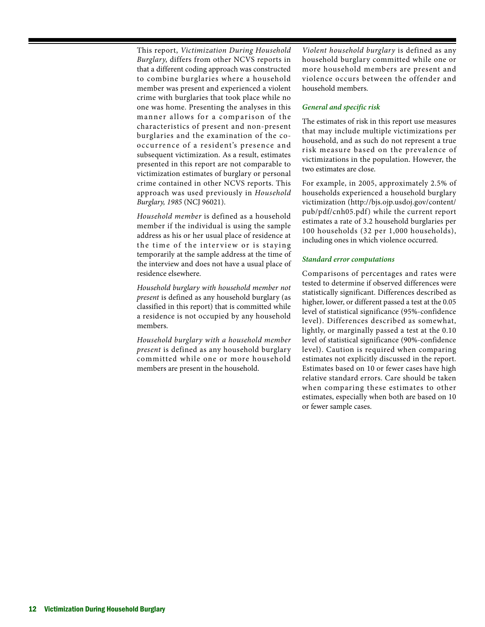This report, *Victimization During Household Burglary*, differs from other NCVS reports in that a different coding approach was constructed to combine burglaries where a household member was present and experienced a violent crime with burglaries that took place while no one was home. Presenting the analyses in this manner allows for a comparison of the characteristics of present and non-present burglaries and the examination of the cooccurrence of a resident's presence and subsequent victimization. As a result, estimates presented in this report are not comparable to victimization estimates of burglary or personal crime contained in other NCVS reports. This approach was used previously in *Household Burglary, 1985* (NCJ 96021).

*Household member* is defined as a household member if the individual is using the sample address as his or her usual place of residence at the time of the interview or is staying temporarily at the sample address at the time of the interview and does not have a usual place of residence elsewhere.

*Household burglary with household member not present* is defined as any household burglary (as classified in this report) that is committed while a residence is not occupied by any household members.

*Household burglary with a household member present* is defined as any household burglary committed while one or more household members are present in the household.

*Violent household burglary* is defined as any household burglary committed while one or more household members are present and violence occurs between the offender and household members.

#### *General and specific risk*

The estimates of risk in this report use measures that may include multiple victimizations per household, and as such do not represent a true risk measure based on the prevalence of victimizations in the population. However, the two estimates are close.

For example, in 2005, approximately 2.5% of households experienced a household burglary victimization (http://bjs.ojp.usdoj.gov/content/ pub/pdf/cnh05.pdf) while the current report estimates a rate of 3.2 household burglaries per 100 households (32 per 1,000 households), including ones in which violence occurred.

#### *Standard error computations*

Comparisons of percentages and rates were tested to determine if observed differences were statistically significant. Differences described as higher, lower, or different passed a test at the 0.05 level of statistical significance (95%-confidence level). Differences described as somewhat, lightly, or marginally passed a test at the 0.10 level of statistical significance (90%-confidence level). Caution is required when comparing estimates not explicitly discussed in the report. Estimates based on 10 or fewer cases have high relative standard errors. Care should be taken when comparing these estimates to other estimates, especially when both are based on 10 or fewer sample cases.